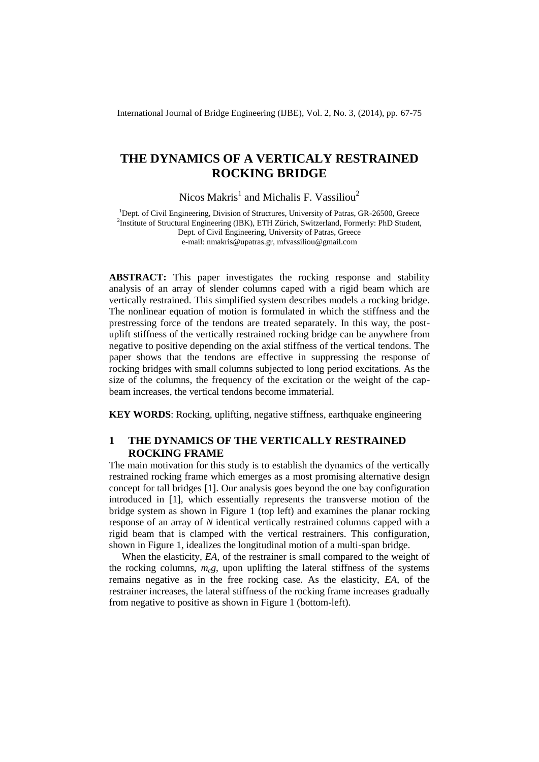International Journal of Bridge Engineering (IJBE), Vol. 2, No. 3, (2014), pp. 67-75

# **THE DYNAMICS OF A VERTICALY RESTRAINED ROCKING BRIDGE**

Nicos Makris<sup>1</sup> and Michalis F. Vassiliou<sup>2</sup>

<sup>1</sup>Dept. of Civil Engineering, Division of Structures, University of Patras, GR-26500, Greece <sup>2</sup>Institute of Structural Engineering (IBK), ETH Zürich, Switzerland, Formerly: PhD Student, Dept. of Civil Engineering, University of Patras, Greece e-mail: [nmakris@upatras.gr,](mailto:nmakris@upatras.gr) mfvassiliou@gmail.com

**ABSTRACT:** This paper investigates the rocking response and stability analysis of an array of slender columns caped with a rigid beam which are vertically restrained. This simplified system describes models a rocking bridge. The nonlinear equation of motion is formulated in which the stiffness and the prestressing force of the tendons are treated separately. In this way, the postuplift stiffness of the vertically restrained rocking bridge can be anywhere from negative to positive depending on the axial stiffness of the vertical tendons. The paper shows that the tendons are effective in suppressing the response of rocking bridges with small columns subjected to long period excitations. As the size of the columns, the frequency of the excitation or the weight of the capbeam increases, the vertical tendons become immaterial.

**KEY WORDS**: Rocking, uplifting, negative stiffness, earthquake engineering

## **1 THE DYNAMICS OF THE VERTICALLY RESTRAINED ROCKING FRAME**

The main motivation for this study is to establish the dynamics of the vertically restrained rocking frame which emerges as a most promising alternative design concept for tall bridges [1]. Our analysis goes beyond the one bay configuration introduced in [1], which essentially represents the transverse motion of the bridge system as shown in Figure 1 (top left) and examines the planar rocking response of an array of *N* identical vertically restrained columns capped with a rigid beam that is clamped with the vertical restrainers. This configuration, shown in Figure 1, idealizes the longitudinal motion of a multi-span bridge.

When the elasticity, *EA*, of the restrainer is small compared to the weight of the rocking columns,  $m_c g$ , upon uplifting the lateral stiffness of the systems remains negative as in the free rocking case. As the elasticity, *EA*, of the restrainer increases, the lateral stiffness of the rocking frame increases gradually from negative to positive as shown in Figure 1 (bottom-left).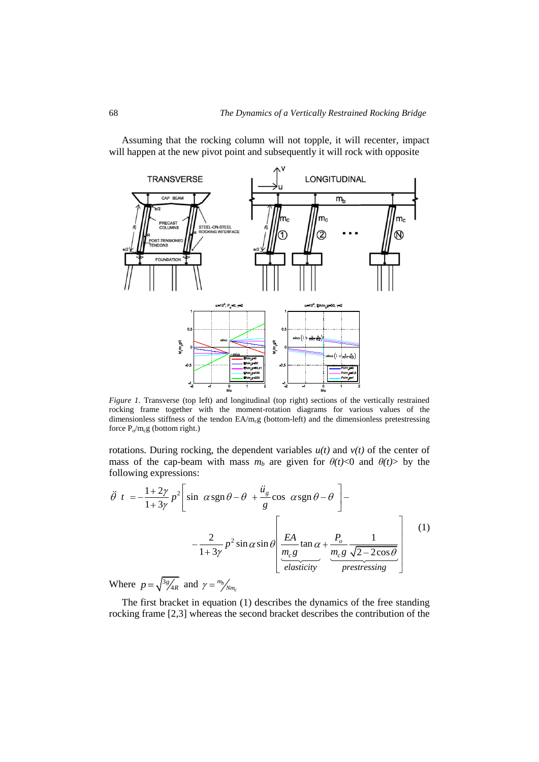Assuming that the rocking column will not topple, it will recenter, impact will happen at the new pivot point and subsequently it will rock with opposite



*Figure 1.* Transverse (top left) and longitudinal (top right) sections of the vertically restrained rocking frame together with the moment-rotation diagrams for various values of the dimensionless stiffness of the tendon EA/m<sub>c</sub>g (bottom-left) and the dimensionless pretestressing force  $P_o/m_c g$  (bottom right.)

rotations. During rocking, the dependent variables  $u(t)$  and  $v(t)$  of the center of

mass of the cap-beam with mass 
$$
m_b
$$
 are given for  $\theta(t) < 0$  and  $\theta(t) >$  by the  
following expressions:  

$$
\ddot{\theta} \quad t = -\frac{1+2\gamma}{1+3\gamma} p^2 \left[ \sin \alpha \operatorname{sgn} \theta - \theta + \frac{\ddot{u}_s}{g} \cos \alpha \operatorname{sgn} \theta - \theta \right] -
$$

$$
-\frac{2}{1+3\gamma} p^2 \sin \alpha \sin \theta \left[ \underbrace{\frac{EA}{m_c g}}_{\text{elasticity}} \tan \alpha + \underbrace{\frac{P_o}{m_c g} \frac{1}{\sqrt{2-2 \cos \theta}}}_{\text{prestressing}} \right]
$$
(1)

Where  $p = \sqrt{\frac{3g}{4R}}$  and  $\gamma = \frac{m_b}{N m_c}$ *m Nm*

The first bracket in equation (1) describes the dynamics of the free standing rocking frame [2,3] whereas the second bracket describes the contribution of the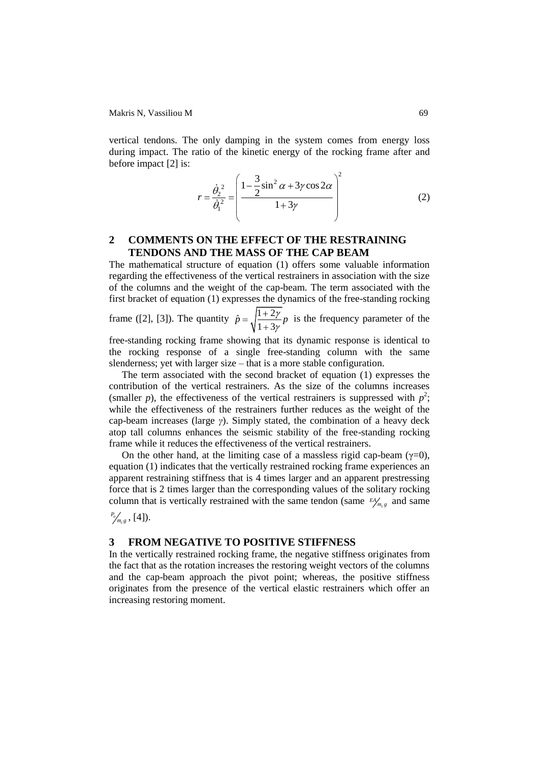Makris N, Vassiliou M 69

vertical tendons. The only damping in the system comes from energy loss during impact. The ratio of the kinetic energy of the rocking frame after and before impact [2] is:

$$
r = \frac{\dot{\theta}_2^2}{\dot{\theta}_1^2} = \left(\frac{1 - \frac{3}{2}\sin^2\alpha + 3\gamma\cos 2\alpha}{1 + 3\gamma}\right)^2
$$
 (2)

## **2 COMMENTS ON THE EFFECT OF THE RESTRAINING TENDONS AND THE MASS OF THE CAP BEAM**

The mathematical structure of equation (1) offers some valuable information regarding the effectiveness of the vertical restrainers in association with the size of the columns and the weight of the cap-beam. The term associated with the first bracket of equation (1) expresses the dynamics of the free-standing rocking

frame ([2], [3]). The quantity  $\hat{p} = \sqrt{\frac{1+2}{1-2}}$  $1 + 3$  $\hat{p} = \sqrt{\frac{1+2\gamma}{n}} p$  is the frequency parameter of the

free-standing rocking frame showing that its dynamic response is identical to the rocking response of a single free-standing column with the same slenderness; yet with larger size – that is a more stable configuration.

The term associated with the second bracket of equation (1) expresses the contribution of the vertical restrainers. As the size of the columns increases (smaller *p*), the effectiveness of the vertical restrainers is suppressed with  $p^2$ ; while the effectiveness of the restrainers further reduces as the weight of the cap-beam increases (large *γ*). Simply stated, the combination of a heavy deck atop tall columns enhances the seismic stability of the free-standing rocking frame while it reduces the effectiveness of the vertical restrainers.

On the other hand, at the limiting case of a massless rigid cap-beam  $(\gamma=0)$ , equation (1) indicates that the vertically restrained rocking frame experiences an apparent restraining stiffness that is 4 times larger and an apparent prestressing force that is 2 times larger than the corresponding values of the solitary rocking column that is vertically restrained with the same tendon (same  $\frac{E}{m_c g}$  and same

 $\int_{m_c g}^{P_o}$  , [4]).

### **3 FROM NEGATIVE TO POSITIVE STIFFNESS**

In the vertically restrained rocking frame, the negative stiffness originates from the fact that as the rotation increases the restoring weight vectors of the columns and the cap-beam approach the pivot point; whereas, the positive stiffness originates from the presence of the vertical elastic restrainers which offer an increasing restoring moment.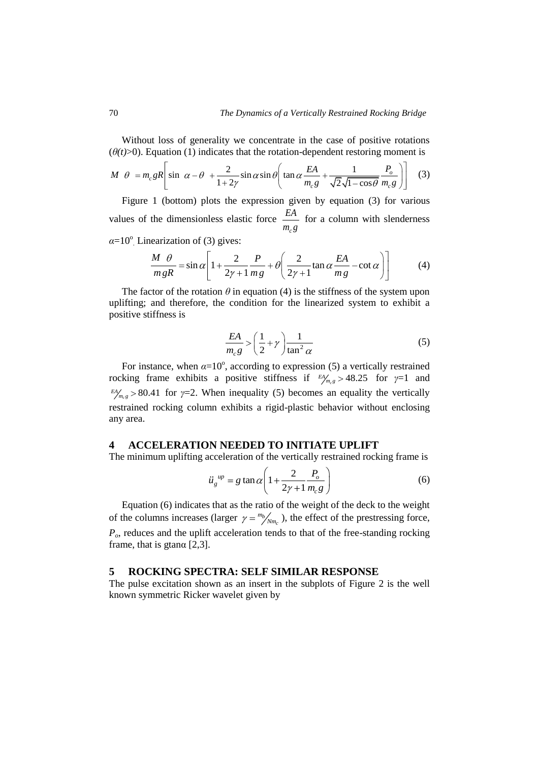Without loss of generality we concentrate in the case of positive rotations <br>  $\theta$  =  $m_c gR \left[ \sin \alpha - \theta + \frac{2}{1+2\gamma} \sin \alpha \sin \theta \left( \tan \alpha \frac{EA}{m_c g} + \frac{1}{\sqrt{2} \sqrt{1 - \cos \theta} m_c g} \right) \right]$  (3)

(θ(t) > 0). Equation (1) indicates that the rotation-dependent restoring moment is  
\n
$$
M \theta = m_c g R \left[ \sin \alpha - \theta + \frac{2}{1+2\gamma} \sin \alpha \sin \theta \left( \tan \alpha \frac{EA}{m_c g} + \frac{1}{\sqrt{2} \sqrt{1 - \cos \theta}} \frac{P_o}{m_c g} \right) \right]
$$
\n(3)

Figure 1 (bottom) plots the expression given by equation (3) for various values of the dimensionless elastic force *c EA*  $m_{c}g$ for a column with slenderness  $\alpha = 10^{\circ}$  Linearization of (3) gives:

$$
\frac{M}{m g R} = \sin \alpha \left[ 1 + \frac{2}{2\gamma + 1} \frac{P}{m g} + \theta \left( \frac{2}{2\gamma + 1} \tan \alpha \frac{EA}{mg} - \cot \alpha \right) \right]
$$
(4)

The factor of the rotation  $\theta$  in equation (4) is the stiffness of the system upon uplifting; and therefore, the condition for the linearized system to exhibit a positive stiffness is

$$
\frac{EA}{m_c g} > \left(\frac{1}{2} + \gamma\right) \frac{1}{\tan^2 \alpha} \tag{5}
$$

For instance, when  $\alpha = 10^{\circ}$ , according to expression (5) a vertically restrained rocking frame exhibits a positive stiffness if  $P_{m_c g} > 48.25$  for  $\gamma = 1$  and  $\mathbb{Z}_{m_c}^{\text{EA}}$  > 80.41 for *γ*=2. When inequality (5) becomes an equality the vertically restrained rocking column exhibits a rigid-plastic behavior without enclosing any area.

#### **4 ACCELERATION NEEDED TO INITIATE UPLIFT**

The minimum uplifting acceleration of the vertically restrained rocking frame is

$$
\ddot{u}_g^{\ \mu p} = g \tan \alpha \left( 1 + \frac{2}{2\gamma + 1} \frac{P_o}{m_c g} \right) \tag{6}
$$

Equation (6) indicates that as the ratio of the weight of the deck to the weight of the columns increases (larger  $\gamma = \frac{m_b}{N m_c}$  $\frac{m_b}{N_{m_c}}$ ), the effect of the prestressing force, *Po*, reduces and the uplift acceleration tends to that of the free-standing rocking frame, that is gtan $\alpha$  [2,3].

#### **5 ROCKING SPECTRA: SELF SIMILAR RESPONSE**

The pulse excitation shown as an insert in the subplots of Figure 2 is the well known symmetric Ricker wavelet given by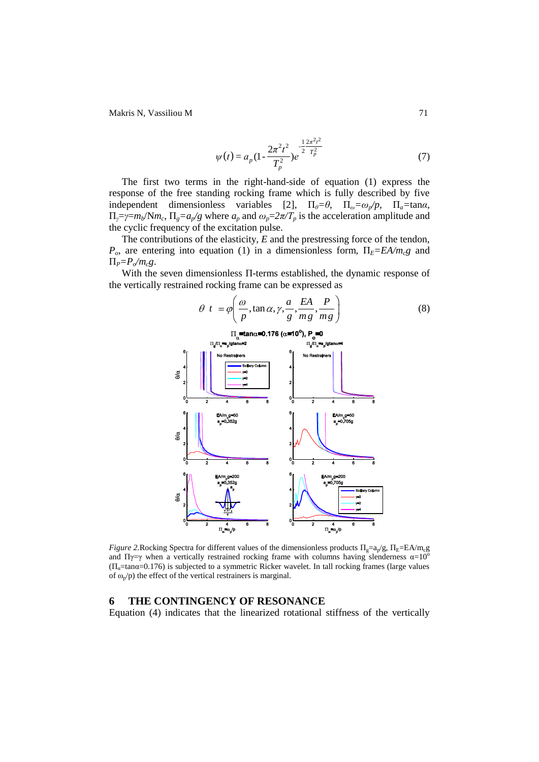Makris N, Vassiliou M 71

$$
\psi(t) = a_p (1 - \frac{2\pi^2 t^2}{T_p^2}) e^{-\frac{1}{2} \frac{2\pi^2 t^2}{T_p^2}}
$$
\n(7)

The first two terms in the right-hand-side of equation (1) express the response of the free standing rocking frame which is fully described by five independent dimensionless variables [2],  $\Pi_{\theta} = \theta$ ,  $\Pi_{\omega} = \omega_p/p$ ,  $\Pi_{\alpha} = \tan \alpha$ ,  $\Pi_{\gamma} = \gamma = m_b/\text{N}m_c$ ,  $\Pi_g = a_p/g$  where  $a_p$  and  $\omega_p = 2\pi/T_p$  is the acceleration amplitude and the cyclic frequency of the excitation pulse.

The contributions of the elasticity, *E* and the prestressing force of the tendon,  $P_o$ , are entering into equation (1) in a dimensionless form,  $\Pi_E = E A / m_c g$  and Π*P=Po/mcg*.

With the seven dimensionless Π-terms established, the dynamic response of the vertically restrained rocking frame can be expressed as



*Figure 2.* Rocking Spectra for different values of the dimensionless products  $\Pi_{g} = a_{p}/g$ ,  $\Pi_{E} = EA/m_{c}g$ and Πγ=γ when a vertically restrained rocking frame with columns having slenderness  $\alpha=10^{\circ}$  $(\Pi_{\alpha}=\tan\alpha=0.176)$  is subjected to a symmetric Ricker wavelet. In tall rocking frames (large values of  $\omega_p$ /p) the effect of the vertical restrainers is marginal.

#### **6 THE CONTINGENCY OF RESONANCE**

Equation (4) indicates that the linearized rotational stiffness of the vertically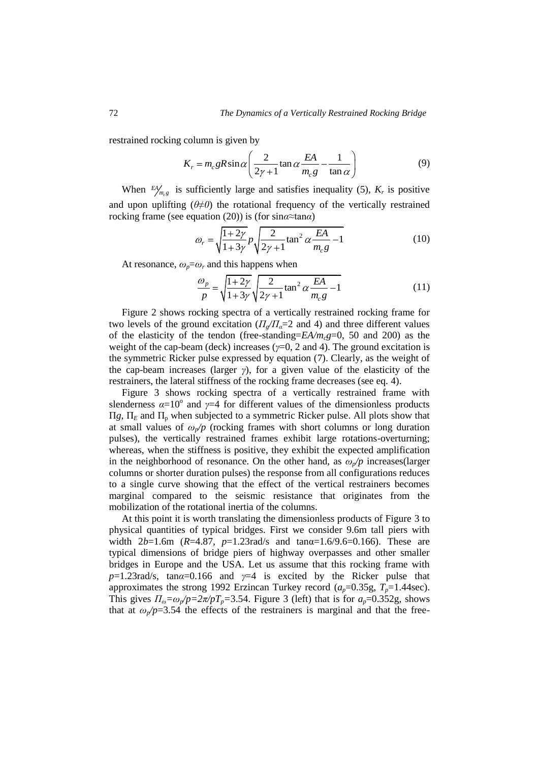restrained rocking column is given by

column is given by  
\n
$$
K_r = m_c g R \sin \alpha \left( \frac{2}{2\gamma + 1} \tan \alpha \frac{EA}{m_c g} - \frac{1}{\tan \alpha} \right)
$$
\n(9)

When  $\frac{EA}{m_c g}$  is sufficiently large and satisfies inequality (5),  $K_r$  is positive and upon uplifting (*θ≠0*) the rotational frequency of the vertically restrained rocking frame (see equation (20)) is (for sin $a \approx \tan \alpha$ )<br>  $a = \sqrt{\frac{1+2\gamma}{n}} n \sqrt{\frac{2}{1+2\alpha^2}}$ 

$$
\omega_r = \sqrt{\frac{1+2\gamma}{1+3\gamma}} p \sqrt{\frac{2}{2\gamma+1} \tan^2 \alpha \frac{EA}{m_c g} - 1}
$$
(10)

At resonance, 
$$
\omega_p = \omega_r
$$
 and this happens when  
\n
$$
\frac{\omega_p}{p} = \sqrt{\frac{1+2\gamma}{1+3\gamma}} \sqrt{\frac{2}{2\gamma+1} \tan^2 \alpha \frac{EA}{m_c g} - 1}
$$
\n(11)

Figure 2 shows rocking spectra of a vertically restrained rocking frame for two levels of the ground excitation  $(\Pi_{\alpha}/\Pi_{\alpha}=2)$  and 4) and three different values of the elasticity of the tendon (free-standing= $E A/m<sub>c</sub>g=0$ , 50 and 200) as the weight of the cap-beam (deck) increases (*γ*=0, 2 and 4). The ground excitation is the symmetric Ricker pulse expressed by equation (7). Clearly, as the weight of the cap-beam increases (larger *γ*), for a given value of the elasticity of the restrainers, the lateral stiffness of the rocking frame decreases (see eq. 4).

Figure 3 shows rocking spectra of a vertically restrained frame with slenderness  $\alpha = 10^{\circ}$  and  $\gamma = 4$  for different values of the dimensionless products  $\Pi$ *g*,  $\Pi$ <sub>*E*</sub> and  $\Pi$ <sub>p</sub> when subjected to a symmetric Ricker pulse. All plots show that at small values of  $\omega_p/p$  (rocking frames with short columns or long duration pulses), the vertically restrained frames exhibit large rotations-overturning; whereas, when the stiffness is positive, they exhibit the expected amplification in the neighborhood of resonance. On the other hand, as  $\omega_p/p$  increases(larger columns or shorter duration pulses) the response from all configurations reduces to a single curve showing that the effect of the vertical restrainers becomes marginal compared to the seismic resistance that originates from the mobilization of the rotational inertia of the columns.

At this point it is worth translating the dimensionless products of Figure 3 to physical quantities of typical bridges. First we consider 9.6m tall piers with width 2*b*=1.6m (*R*=4.87, *p*=1.23rad/s and tanα=1.6/9.6=0.166). These are typical dimensions of bridge piers of highway overpasses and other smaller bridges in Europe and the USA. Let us assume that this rocking frame with *p*=1.23rad/s, tan*α*=0.166 and *γ*=4 is excited by the Ricker pulse that approximates the strong 1992 Erzincan Turkey record  $(a_p=0.35g, T_p=1.44$ sec). This gives  $\Pi_{\omega} = \omega_p / p = 2\pi / pT_p = 3.54$ . Figure 3 (left) that is for  $a_p = 0.352g$ , shows that at  $\omega_p$ /p=3.54 the effects of the restrainers is marginal and that the free-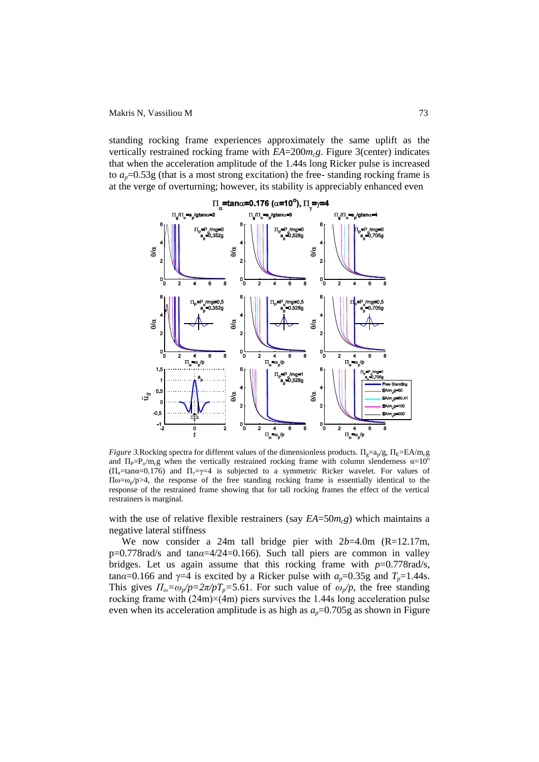standing rocking frame experiences approximately the same uplift as the vertically restrained rocking frame with *EA*=200*mcg*. Figure 3(center) indicates that when the acceleration amplitude of the 1.44s long Ricker pulse is increased to  $a_p=0.53g$  (that is a most strong excitation) the free-standing rocking frame is at the verge of overturning; however, its stability is appreciably enhanced even



*Figure 3.* Rocking spectra for different values of the dimensionless products.  $\Pi_g = a_p/g$ ,  $\Pi_E = EA/m_c g$ and  $\Pi_P = P_o/m_c g$  when the vertically restrained rocking frame with column slenderness  $\alpha = 10^{\circ}$  $(\Pi_{\alpha}$ =tan $\alpha$ =0.176) and  $\Pi_{\gamma}$ = $\gamma$ =4 is subjected to a symmetric Ricker wavelet. For values of  $\Pi$ ω=ω<sub>p</sub>/p>4, the response of the free standing rocking frame is essentially identical to the response of the restrained frame showing that for tall rocking frames the effect of the vertical restrainers is marginal.

with the use of relative flexible restrainers (say  $EA = 50m<sub>c</sub>g$ ) which maintains a negative lateral stiffness

We now consider a 24m tall bridge pier with 2*b*=4.0m (R=12.17m, p=0.778rad/s and tan*α*=4/24=0.166). Such tall piers are common in valley bridges. Let us again assume that this rocking frame with *p*=0.778rad/s,  $\tan \alpha = 0.166$  and  $\gamma = 4$  is excited by a Ricker pulse with  $a_p = 0.35g$  and  $T_p = 1.44s$ . This gives  $\Pi_{\omega} = \omega_p / p = 2\pi / pT_p = 5.61$ . For such value of  $\omega_p / p$ , the free standing rocking frame with  $(24m)\times(4m)$  piers survives the 1.44s long acceleration pulse even when its acceleration amplitude is as high as  $a_p=0.705g$  as shown in Figure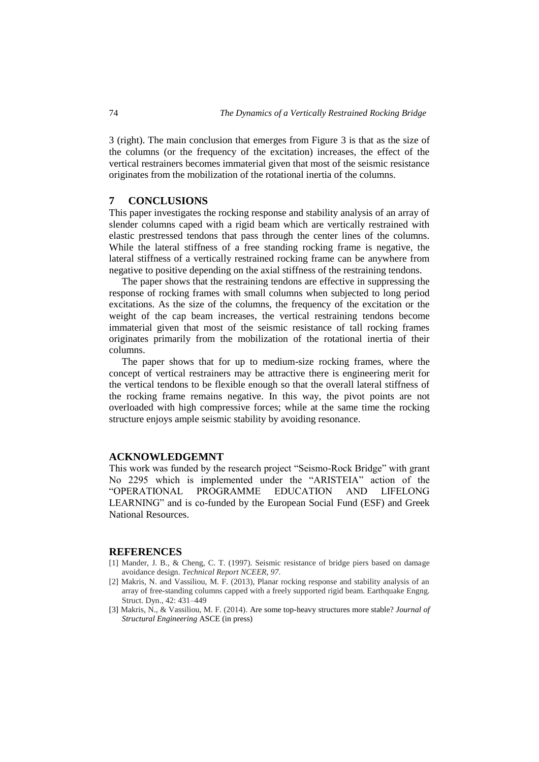3 (right). The main conclusion that emerges from Figure 3 is that as the size of the columns (or the frequency of the excitation) increases, the effect of the vertical restrainers becomes immaterial given that most of the seismic resistance originates from the mobilization of the rotational inertia of the columns.

#### **7 CONCLUSIONS**

This paper investigates the rocking response and stability analysis of an array of slender columns caped with a rigid beam which are vertically restrained with elastic prestressed tendons that pass through the center lines of the columns. While the lateral stiffness of a free standing rocking frame is negative, the lateral stiffness of a vertically restrained rocking frame can be anywhere from negative to positive depending on the axial stiffness of the restraining tendons.

The paper shows that the restraining tendons are effective in suppressing the response of rocking frames with small columns when subjected to long period excitations. As the size of the columns, the frequency of the excitation or the weight of the cap beam increases, the vertical restraining tendons become immaterial given that most of the seismic resistance of tall rocking frames originates primarily from the mobilization of the rotational inertia of their columns.

The paper shows that for up to medium-size rocking frames, where the concept of vertical restrainers may be attractive there is engineering merit for the vertical tendons to be flexible enough so that the overall lateral stiffness of the rocking frame remains negative. In this way, the pivot points are not overloaded with high compressive forces; while at the same time the rocking structure enjoys ample seismic stability by avoiding resonance.

#### **ACKNOWLEDGEMNT**

This work was funded by the research project "Seismo-Rock Bridge" with grant No 2295 which is implemented under the "ARISTEIA" action of the "OPERATIONAL PROGRAMME EDUCATION AND LIFELONG LEARNING" and is co-funded by the European Social Fund (ESF) and Greek National Resources.

#### **REFERENCES**

- [1] Mander, J. B., & Cheng, C. T. (1997). Seismic resistance of bridge piers based on damage avoidance design. *Technical Report NCEER*, *97*.
- [2] Makris, N. and Vassiliou, M. F. (2013), Planar rocking response and stability analysis of an array of free-standing columns capped with a freely supported rigid beam. Earthquake Engng. Struct. Dyn., 42: 431–449
- [3] Makris, N., & Vassiliou, M. F. (2014). Are some top-heavy structures more stable? *Journal of Structural Engineering* ASCE (in press)